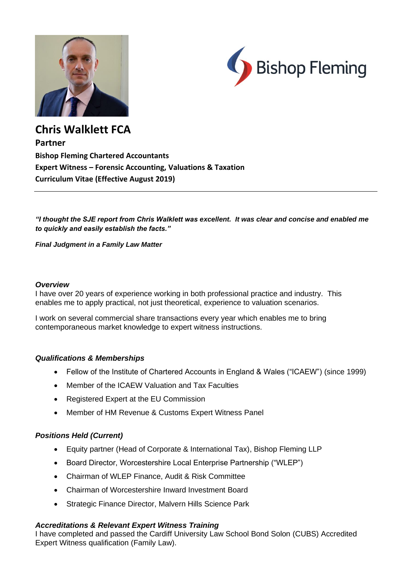



**Chris Walklett FCA Partner Bishop Fleming Chartered Accountants Expert Witness – Forensic Accounting, Valuations & Taxation Curriculum Vitae (Effective August 2019)**

*"I thought the SJE report from Chris Walklett was excellent. It was clear and concise and enabled me to quickly and easily establish the facts."*

*Final Judgment in a Family Law Matter*

#### *Overview*

I have over 20 years of experience working in both professional practice and industry. This enables me to apply practical, not just theoretical, experience to valuation scenarios.

I work on several commercial share transactions every year which enables me to bring contemporaneous market knowledge to expert witness instructions.

## *Qualifications & Memberships*

- Fellow of the Institute of Chartered Accounts in England & Wales ("ICAEW") (since 1999)
- Member of the ICAEW Valuation and Tax Faculties
- Registered Expert at the EU Commission
- Member of HM Revenue & Customs Expert Witness Panel

## *Positions Held (Current)*

- Equity partner (Head of Corporate & International Tax), Bishop Fleming LLP
- Board Director, Worcestershire Local Enterprise Partnership ("WLEP")
- Chairman of WLEP Finance, Audit & Risk Committee
- Chairman of Worcestershire Inward Investment Board
- Strategic Finance Director, Malvern Hills Science Park

#### *Accreditations & Relevant Expert Witness Training*

I have completed and passed the Cardiff University Law School Bond Solon (CUBS) Accredited Expert Witness qualification (Family Law).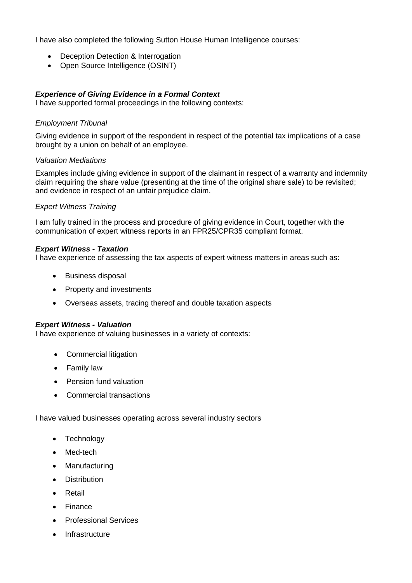I have also completed the following Sutton House Human Intelligence courses:

- Deception Detection & Interrogation
- Open Source Intelligence (OSINT)

# *Experience of Giving Evidence in a Formal Context*

I have supported formal proceedings in the following contexts:

## *Employment Tribunal*

Giving evidence in support of the respondent in respect of the potential tax implications of a case brought by a union on behalf of an employee.

## *Valuation Mediations*

Examples include giving evidence in support of the claimant in respect of a warranty and indemnity claim requiring the share value (presenting at the time of the original share sale) to be revisited; and evidence in respect of an unfair prejudice claim.

## *Expert Witness Training*

I am fully trained in the process and procedure of giving evidence in Court, together with the communication of expert witness reports in an FPR25/CPR35 compliant format.

## *Expert Witness - Taxation*

I have experience of assessing the tax aspects of expert witness matters in areas such as:

- Business disposal
- Property and investments
- Overseas assets, tracing thereof and double taxation aspects

#### *Expert Witness - Valuation*

I have experience of valuing businesses in a variety of contexts:

- Commercial litigation
- Family law
- Pension fund valuation
- Commercial transactions

I have valued businesses operating across several industry sectors

- Technology
- Med-tech
- Manufacturing
- **Distribution**
- **Retail**
- Finance
- Professional Services
- **Infrastructure**